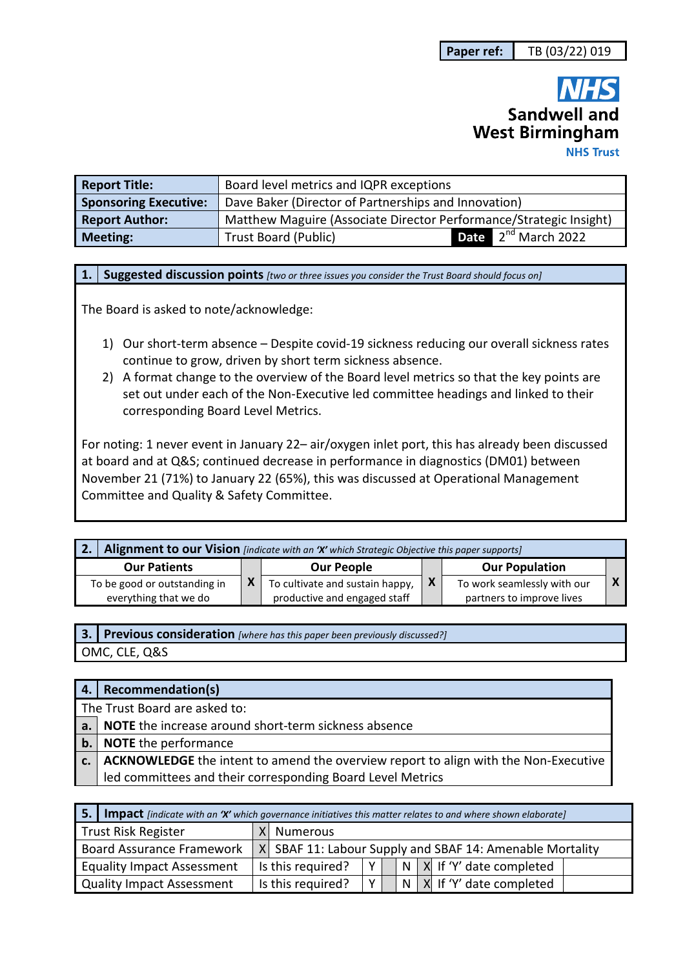# **Sandwell and West Birmingham NHS Trust**

| <b>Report Title:</b>         | Board level metrics and IQPR exceptions                            |                                 |
|------------------------------|--------------------------------------------------------------------|---------------------------------|
| <b>Sponsoring Executive:</b> | Dave Baker (Director of Partnerships and Innovation)               |                                 |
| <b>Report Author:</b>        | Matthew Maguire (Associate Director Performance/Strategic Insight) |                                 |
| <b>Meeting:</b>              | <b>Trust Board (Public)</b>                                        | <b>Date</b> $2^{nd}$ March 2022 |

**1. Suggested discussion points** *[two or three issues you consider the Trust Board should focus on]* 

The Board is asked to note/acknowledge:

- 1) Our short-term absence Despite covid-19 sickness reducing our overall sickness rates continue to grow, driven by short term sickness absence.
- 2) A format change to the overview of the Board level metrics so that the key points are set out under each of the Non-Executive led committee headings and linked to their corresponding Board Level Metrics.

For noting: 1 never event in January 22– air/oxygen inlet port, this has already been discussed at board and at Q&S; continued decrease in performance in diagnostics (DM01) between November 21 (71%) to January 22 (65%), this was discussed at Operational Management Committee and Quality & Safety Committee.

| Alignment to our Vision [indicate with an 'X' which Strategic Objective this paper supports] |  |                                                                 |                           |                                                          |  |
|----------------------------------------------------------------------------------------------|--|-----------------------------------------------------------------|---------------------------|----------------------------------------------------------|--|
| <b>Our Patients</b>                                                                          |  | <b>Our People</b>                                               |                           | <b>Our Population</b>                                    |  |
| To be good or outstanding in<br>everything that we do                                        |  | To cultivate and sustain happy,<br>productive and engaged staff | $\boldsymbol{\mathsf{X}}$ | To work seamlessly with our<br>partners to improve lives |  |

| [3.] Previous consideration [where has this paper been previously discussed?] |
|-------------------------------------------------------------------------------|
| OMC, CLE, Q&S                                                                 |

|                               | 4.   Recommendation(s)                                                                   |  |
|-------------------------------|------------------------------------------------------------------------------------------|--|
| The Trust Board are asked to: |                                                                                          |  |
|                               | a. NOTE the increase around short-term sickness absence                                  |  |
|                               | b. NOTE the performance                                                                  |  |
|                               | c.   ACKNOWLEDGE the intent to amend the overview report to align with the Non-Executive |  |
|                               | led committees and their corresponding Board Level Metrics                               |  |

| <b>5.</b> Impact [indicate with an 'X' which governance initiatives this matter relates to and where shown elaborate] |                                                                              |  |  |  |
|-----------------------------------------------------------------------------------------------------------------------|------------------------------------------------------------------------------|--|--|--|
| Trust Risk Register                                                                                                   | X Numerous                                                                   |  |  |  |
| Board Assurance Framework                                                                                             | X SBAF 11: Labour Supply and SBAF 14: Amenable Mortality                     |  |  |  |
| <b>Equality Impact Assessment</b>                                                                                     | N X If 'Y' date completed<br>Is this required?<br>$\vee$                     |  |  |  |
| Quality Impact Assessment                                                                                             | $\vee$<br>$\vert N \vert X \vert$ If 'Y' date completed<br>Is this required? |  |  |  |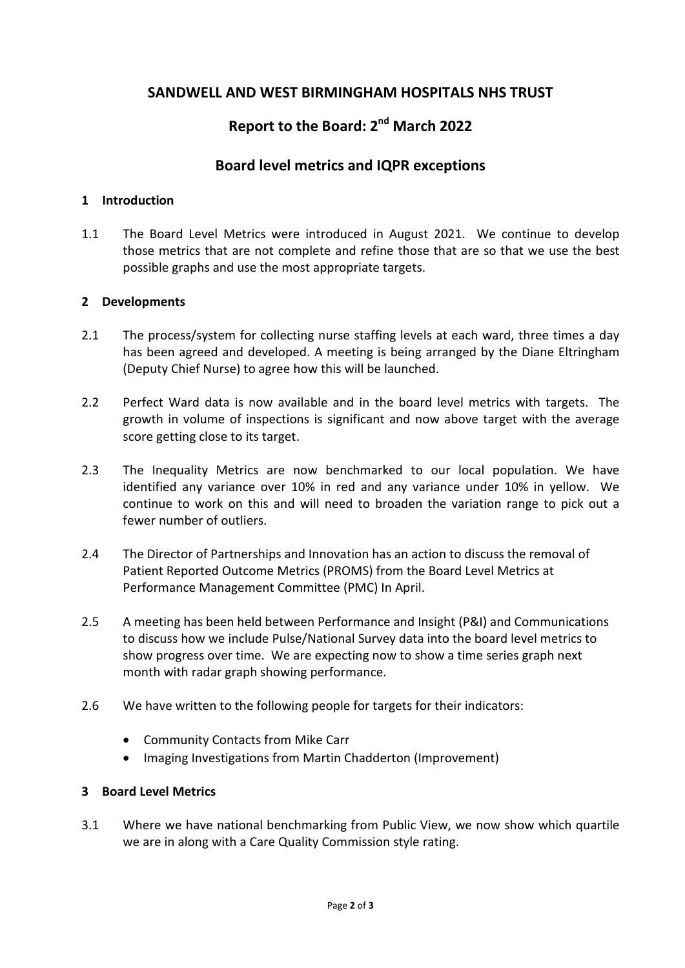## **SANDWELL AND WEST BIRMINGHAM HOSPITALS NHS TRUST**

# **Report to the Board: 2nd March 2022**

### **Board level metrics and IQPR exceptions**

#### **1 Introduction**

1.1 The Board Level Metrics were introduced in August 2021. We continue to develop those metrics that are not complete and refine those that are so that we use the best possible graphs and use the most appropriate targets.

#### **2 Developments**

- 2.1 The process/system for collecting nurse staffing levels at each ward, three times a day has been agreed and developed. A meeting is being arranged by the Diane Eltringham (Deputy Chief Nurse) to agree how this will be launched.
- 2.2 Perfect Ward data is now available and in the board level metrics with targets. The growth in volume of inspections is significant and now above target with the average score getting close to its target.
- 2.3 The Inequality Metrics are now benchmarked to our local population. We have identified any variance over 10% in red and any variance under 10% in yellow. We continue to work on this and will need to broaden the variation range to pick out a fewer number of outliers.
- 2.4 The Director of Partnerships and Innovation has an action to discuss the removal of Patient Reported Outcome Metrics (PROMS) from the Board Level Metrics at Performance Management Committee (PMC) In April.
- 2.5 A meeting has been held between Performance and Insight (P&I) and Communications to discuss how we include Pulse/National Survey data into the board level metrics to show progress over time. We are expecting now to show a time series graph next month with radar graph showing performance.
- 2.6 We have written to the following people for targets for their indicators:
	- Community Contacts from Mike Carr
	- Imaging Investigations from Martin Chadderton (Improvement)

#### **3 Board Level Metrics**

3.1 Where we have national benchmarking from Public View, we now show which quartile we are in along with a Care Quality Commission style rating.